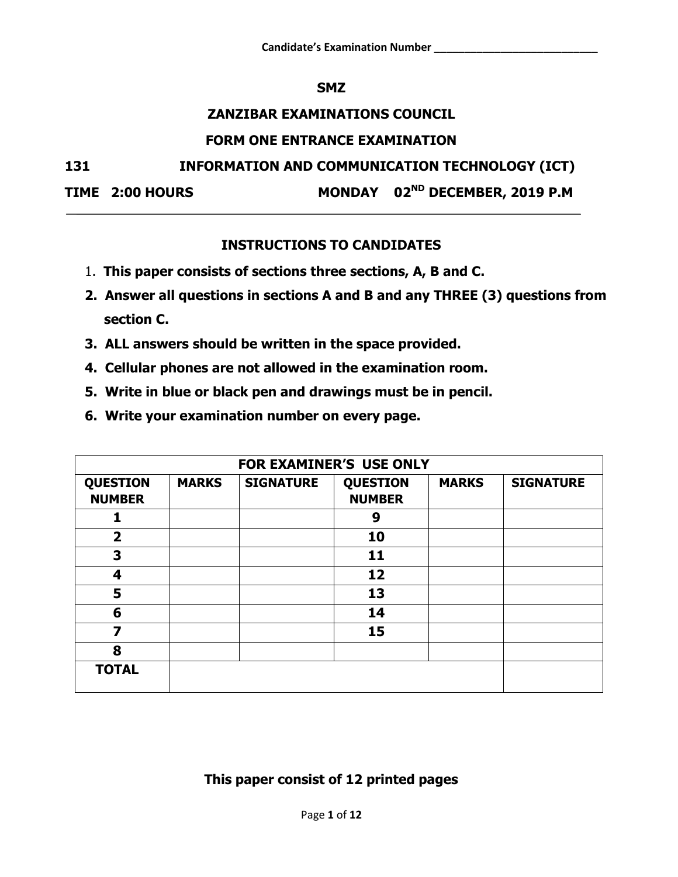#### **SMZ**

### **ZANZIBAR EXAMINATIONS COUNCIL**

#### **FORM ONE ENTRANCE EXAMINATION**

**131 INFORMATION AND COMMUNICATION TECHNOLOGY (ICT)**

**TIME 2:00 HOURS** 

MONDAY 02<sup>ND</sup> DECEMBER, 2019 P.M

# **INSTRUCTIONS TO CANDIDATES**

- 1. **This paper consists of sections three sections, A, B and C.**
- **2. Answer all questions in sections A and B and any THREE (3) questions from section C.**
- **3. ALL answers should be written in the space provided.**
- **4. Cellular phones are not allowed in the examination room.**
- **5. Write in blue or black pen and drawings must be in pencil.**
- **6. Write your examination number on every page.**

|                                  | <b>FOR EXAMINER'S USE ONLY</b> |                  |                                  |              |                  |  |  |
|----------------------------------|--------------------------------|------------------|----------------------------------|--------------|------------------|--|--|
| <b>QUESTION</b><br><b>NUMBER</b> | <b>MARKS</b>                   | <b>SIGNATURE</b> | <b>QUESTION</b><br><b>NUMBER</b> | <b>MARKS</b> | <b>SIGNATURE</b> |  |  |
|                                  |                                |                  | 9                                |              |                  |  |  |
| $\overline{\mathbf{2}}$          |                                |                  | 10                               |              |                  |  |  |
| 3                                |                                |                  | 11                               |              |                  |  |  |
| 4                                |                                |                  | 12                               |              |                  |  |  |
| 5                                |                                |                  | 13                               |              |                  |  |  |
| 6                                |                                |                  | 14                               |              |                  |  |  |
| 7                                |                                |                  | 15                               |              |                  |  |  |
| 8                                |                                |                  |                                  |              |                  |  |  |
| <b>TOTAL</b>                     |                                |                  |                                  |              |                  |  |  |

**This paper consist of 12 printed pages**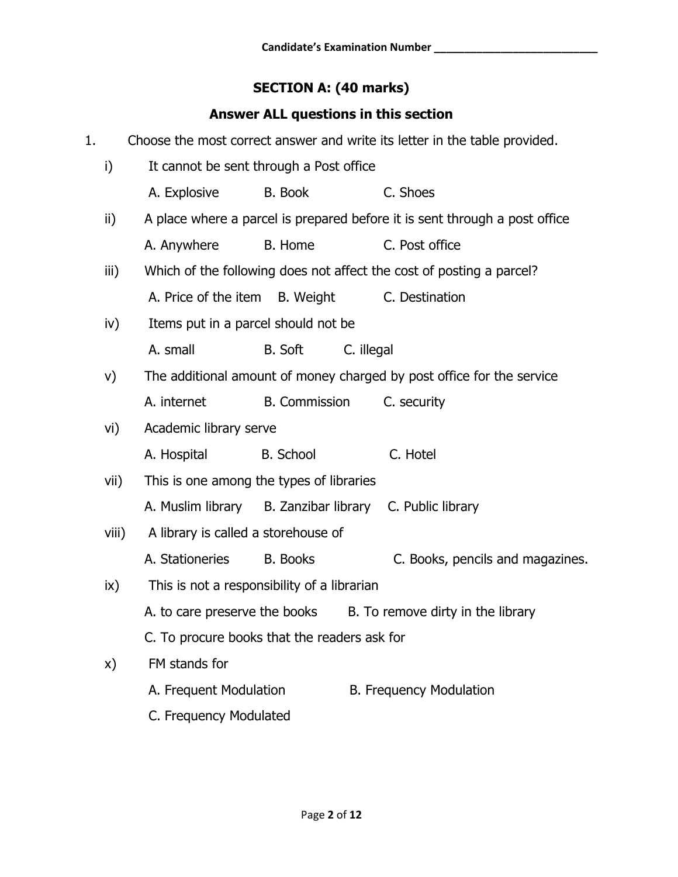# **SECTION A: (40 marks)**

# **Answer ALL questions in this section**

| 1. |               |                                                         |                      |            | Choose the most correct answer and write its letter in the table provided. |
|----|---------------|---------------------------------------------------------|----------------------|------------|----------------------------------------------------------------------------|
|    | i)            | It cannot be sent through a Post office                 |                      |            |                                                                            |
|    |               | A. Explosive                                            | <b>B.</b> Book       |            | C. Shoes                                                                   |
|    | ii)           |                                                         |                      |            | A place where a parcel is prepared before it is sent through a post office |
|    |               | A. Anywhere                                             | B. Home              |            | C. Post office                                                             |
|    | iii)          |                                                         |                      |            | Which of the following does not affect the cost of posting a parcel?       |
|    |               | A. Price of the item                                    | B. Weight            |            | C. Destination                                                             |
|    | iv)           | Items put in a parcel should not be                     |                      |            |                                                                            |
|    |               | A. small                                                | <b>B.</b> Soft       | C. illegal |                                                                            |
|    | V)            |                                                         |                      |            | The additional amount of money charged by post office for the service      |
|    |               | A. internet                                             | <b>B.</b> Commission |            | C. security                                                                |
|    | vi)           | Academic library serve                                  |                      |            |                                                                            |
|    |               | A. Hospital                                             | <b>B.</b> School     |            | C. Hotel                                                                   |
|    | vii)          | This is one among the types of libraries                |                      |            |                                                                            |
|    |               | A. Muslim library B. Zanzibar library C. Public library |                      |            |                                                                            |
|    | viii)         | A library is called a storehouse of                     |                      |            |                                                                            |
|    |               | A. Stationeries                                         | <b>B.</b> Books      |            | C. Books, pencils and magazines.                                           |
|    | $\mathsf{ix}$ | This is not a responsibility of a librarian             |                      |            |                                                                            |
|    |               | A. to care preserve the books                           |                      |            | B. To remove dirty in the library                                          |
|    |               | C. To procure books that the readers ask for            |                      |            |                                                                            |
|    | X)            | FM stands for                                           |                      |            |                                                                            |
|    |               | A. Frequent Modulation                                  |                      |            | <b>B. Frequency Modulation</b>                                             |
|    |               | C. Frequency Modulated                                  |                      |            |                                                                            |
|    |               |                                                         |                      |            |                                                                            |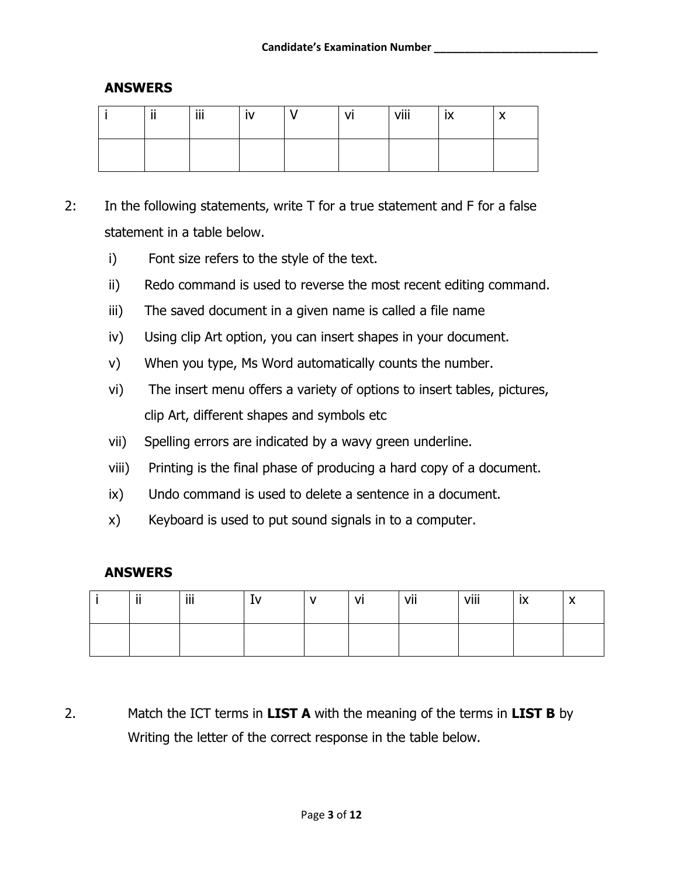#### **ANSWERS**

| $\cdots$<br>. . | iii. |  | ٧ı | viii | יי<br>$\sim$ | ` |
|-----------------|------|--|----|------|--------------|---|
|                 |      |  |    |      |              |   |

- 2: In the following statements, write T for a true statement and F for a false statement in a table below.
	- i) Font size refers to the style of the text.
	- ii) Redo command is used to reverse the most recent editing command.
	- iii) The saved document in a given name is called a file name
	- iv) Using clip Art option, you can insert shapes in your document.
	- v) When you type, Ms Word automatically counts the number.
	- vi) The insert menu offers a variety of options to insert tables, pictures, clip Art, different shapes and symbols etc
	- vii) Spelling errors are indicated by a wavy green underline.
	- viii) Printing is the final phase of producing a hard copy of a document.
	- ix) Undo command is used to delete a sentence in a document.
	- x) Keyboard is used to put sound signals in to a computer.

#### **ANSWERS**

| $\cdots$<br> | .<br>Ш | <b>I</b> V | J1 | vii | viii | <b>IX</b> | $\lambda$ |
|--------------|--------|------------|----|-----|------|-----------|-----------|
|              |        |            |    |     |      |           |           |

2. Match the ICT terms in **LIST A** with the meaning of the terms in **LIST B** by Writing the letter of the correct response in the table below.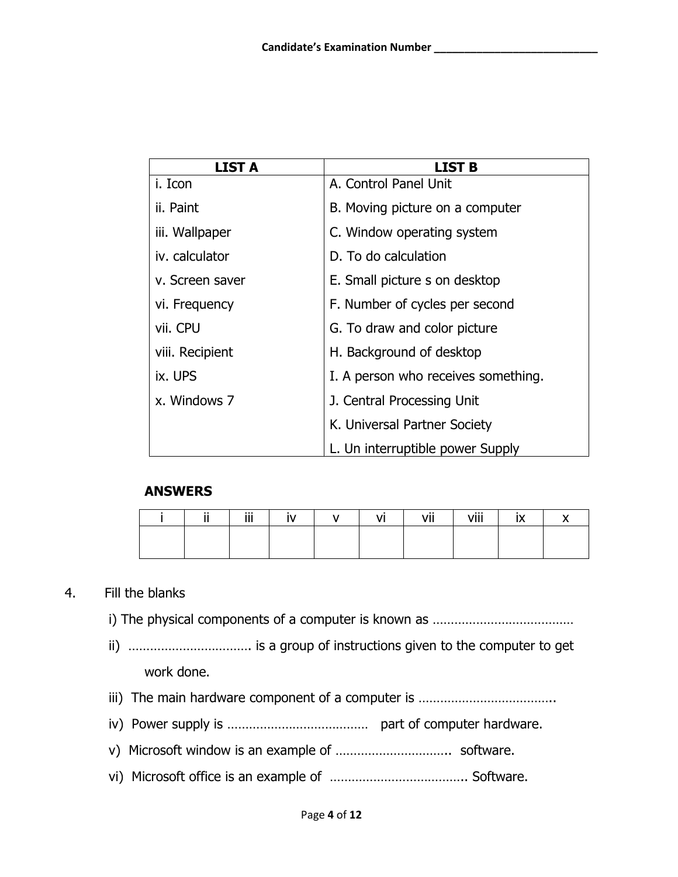| <b>LIST A</b>   | <b>LIST B</b>                       |
|-----------------|-------------------------------------|
| i. Icon         | A. Control Panel Unit               |
| ii. Paint       | B. Moving picture on a computer     |
| iii. Wallpaper  | C. Window operating system          |
| iv. calculator  | D. To do calculation                |
| v. Screen saver | E. Small picture s on desktop       |
| vi. Frequency   | F. Number of cycles per second      |
| vii. CPU        | G. To draw and color picture        |
| viii. Recipient | H. Background of desktop            |
| ix. UPS         | I. A person who receives something. |
| x. Windows 7    | J. Central Processing Unit          |
|                 | K. Universal Partner Society        |
|                 | L. Un interruptible power Supply    |

## **ANSWERS**

| - 11 | iii. | $\mathbf{N}$ | $\mathsf{v}$ | VI | vii | viii | IX | $\cdot$ |
|------|------|--------------|--------------|----|-----|------|----|---------|
|      |      |              |              |    |     |      |    |         |
|      |      |              |              |    |     |      |    |         |

#### 4. Fill the blanks

- i) The physical components of a computer is known as …………………………………
- ii) ……………………………. is a group of instructions given to the computer to get work done.
- iii) The main hardware component of a computer is ………………………………..
- iv) Power supply is ………………………………… part of computer hardware.
- v) Microsoft window is an example of ………………………….. software.
- vi) Microsoft office is an example of ……………………………….. Software.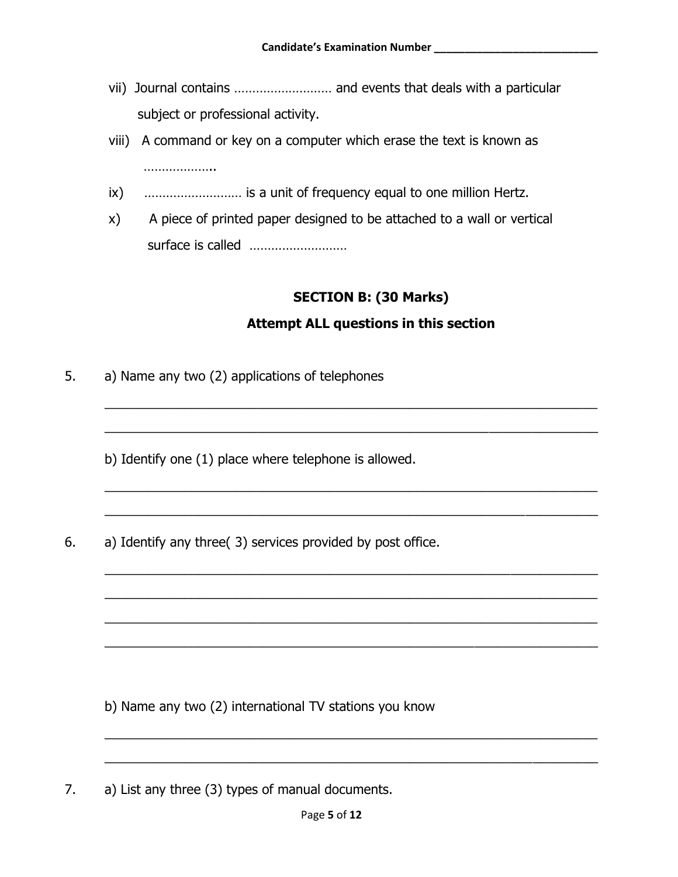- vii) Journal contains ……………………… and events that deals with a particular subject or professional activity.
- viii) A command or key on a computer which erase the text is known as ………………………
- ix) ……………………… is a unit of frequency equal to one million Hertz.
- x) A piece of printed paper designed to be attached to a wall or vertical surface is called ………………………

## **SECTION B: (30 Marks)**

#### **Attempt ALL questions in this section**

\_\_\_\_\_\_\_\_\_\_\_\_\_\_\_\_\_\_\_\_\_\_\_\_\_\_\_\_\_\_\_\_\_\_\_\_\_\_\_\_\_\_\_\_\_\_\_\_\_\_\_\_\_\_\_\_\_\_\_\_\_\_\_\_\_\_\_\_

\_\_\_\_\_\_\_\_\_\_\_\_\_\_\_\_\_\_\_\_\_\_\_\_\_\_\_\_\_\_\_\_\_\_\_\_\_\_\_\_\_\_\_\_\_\_\_\_\_\_\_\_\_\_\_\_\_\_\_\_\_\_\_\_\_\_\_\_

\_\_\_\_\_\_\_\_\_\_\_\_\_\_\_\_\_\_\_\_\_\_\_\_\_\_\_\_\_\_\_\_\_\_\_\_\_\_\_\_\_\_\_\_\_\_\_\_\_\_\_\_\_\_\_\_\_\_\_\_\_\_\_\_\_\_\_\_

\_\_\_\_\_\_\_\_\_\_\_\_\_\_\_\_\_\_\_\_\_\_\_\_\_\_\_\_\_\_\_\_\_\_\_\_\_\_\_\_\_\_\_\_\_\_\_\_\_\_\_\_\_\_\_\_\_\_\_\_\_\_\_\_\_\_\_\_

\_\_\_\_\_\_\_\_\_\_\_\_\_\_\_\_\_\_\_\_\_\_\_\_\_\_\_\_\_\_\_\_\_\_\_\_\_\_\_\_\_\_\_\_\_\_\_\_\_\_\_\_\_\_\_\_\_\_\_\_\_\_\_\_\_\_\_\_

\_\_\_\_\_\_\_\_\_\_\_\_\_\_\_\_\_\_\_\_\_\_\_\_\_\_\_\_\_\_\_\_\_\_\_\_\_\_\_\_\_\_\_\_\_\_\_\_\_\_\_\_\_\_\_\_\_\_\_\_\_\_\_\_\_\_\_\_

\_\_\_\_\_\_\_\_\_\_\_\_\_\_\_\_\_\_\_\_\_\_\_\_\_\_\_\_\_\_\_\_\_\_\_\_\_\_\_\_\_\_\_\_\_\_\_\_\_\_\_\_\_\_\_\_\_\_\_\_\_\_\_\_\_\_\_\_

\_\_\_\_\_\_\_\_\_\_\_\_\_\_\_\_\_\_\_\_\_\_\_\_\_\_\_\_\_\_\_\_\_\_\_\_\_\_\_\_\_\_\_\_\_\_\_\_\_\_\_\_\_\_\_\_\_\_\_\_\_\_\_\_\_\_\_\_

\_\_\_\_\_\_\_\_\_\_\_\_\_\_\_\_\_\_\_\_\_\_\_\_\_\_\_\_\_\_\_\_\_\_\_\_\_\_\_\_\_\_\_\_\_\_\_\_\_\_\_\_\_\_\_\_\_\_\_\_\_\_\_\_\_\_\_\_

\_\_\_\_\_\_\_\_\_\_\_\_\_\_\_\_\_\_\_\_\_\_\_\_\_\_\_\_\_\_\_\_\_\_\_\_\_\_\_\_\_\_\_\_\_\_\_\_\_\_\_\_\_\_\_\_\_\_\_\_\_\_\_\_\_\_\_\_

5. a) Name any two (2) applications of telephones

b) Identify one (1) place where telephone is allowed.

6. a) Identify any three( 3) services provided by post office.

b) Name any two (2) international TV stations you know

7. a) List any three (3) types of manual documents.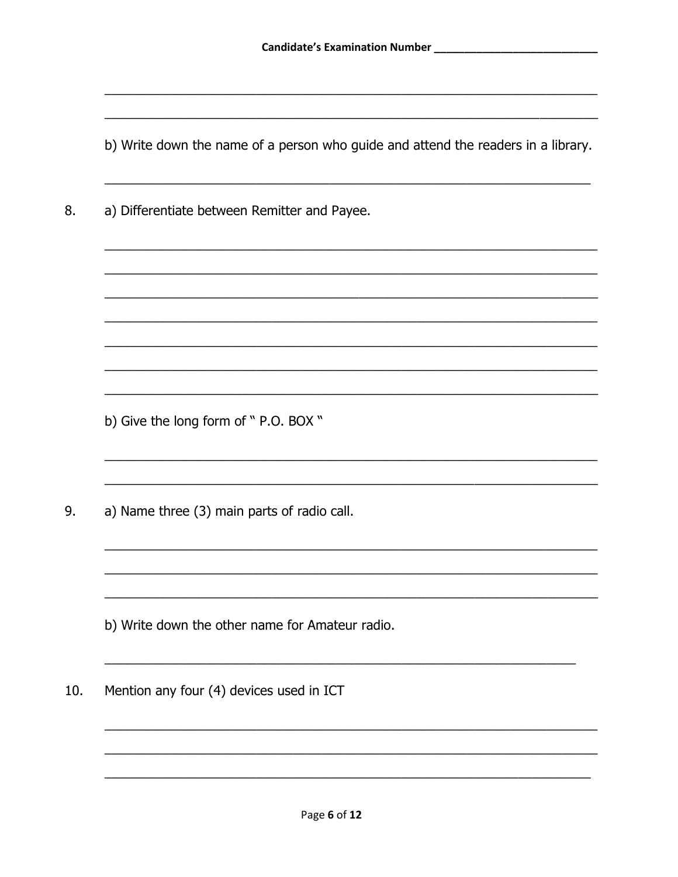b) Write down the name of a person who guide and attend the readers in a library.

a) Differentiate between Remitter and Payee. 8.

b) Give the long form of " P.O. BOX "

9. a) Name three (3) main parts of radio call.

b) Write down the other name for Amateur radio.

Mention any four (4) devices used in ICT 10.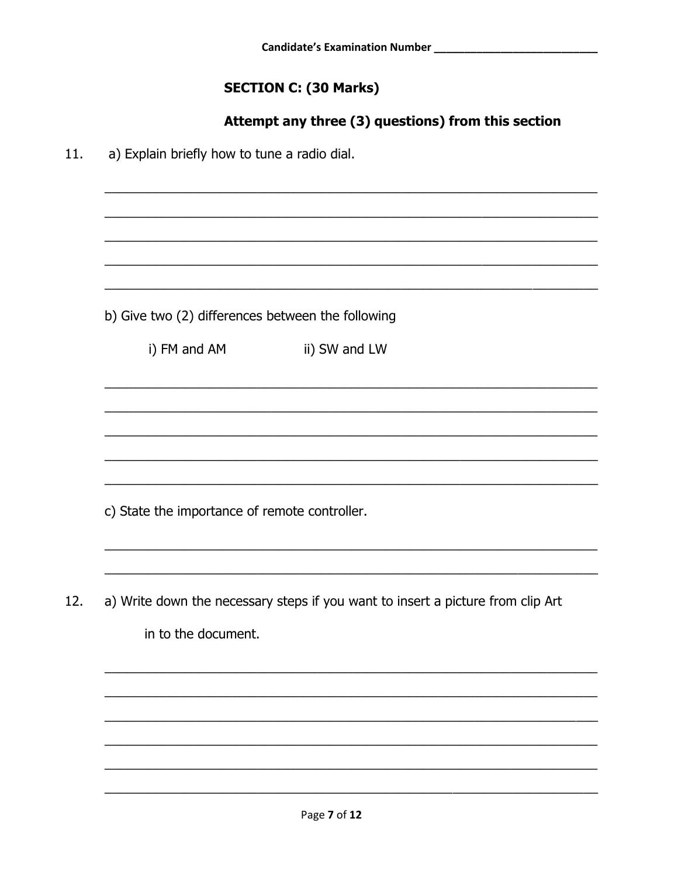# **SECTION C: (30 Marks)**

# Attempt any three (3) questions) from this section

a) Explain briefly how to tune a radio dial.  $11.$ 

b) Give two (2) differences between the following

i) FM and AM

ii) SW and LW

c) State the importance of remote controller.

a) Write down the necessary steps if you want to insert a picture from clip Art 12. in to the document.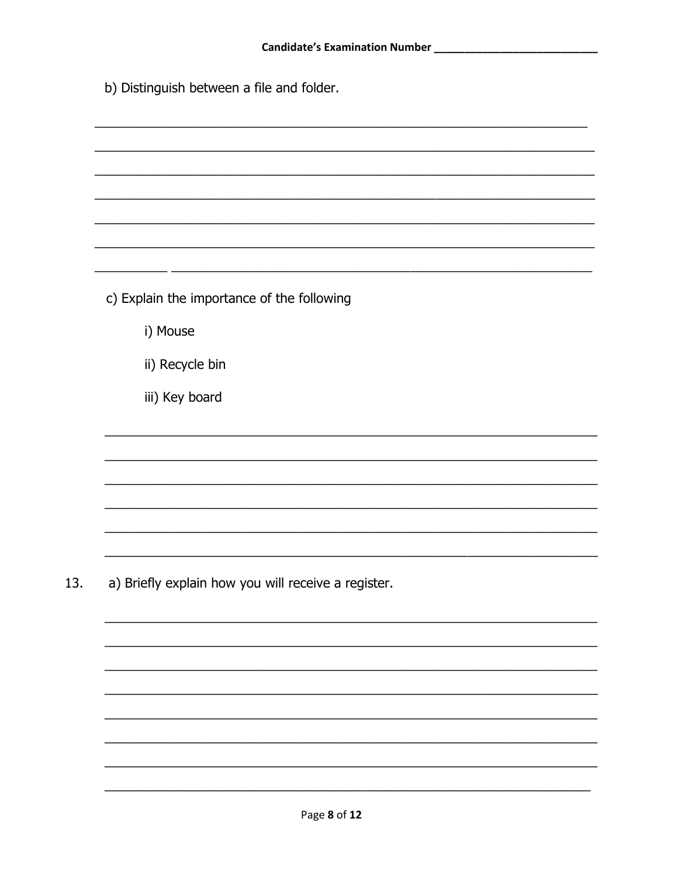|  | b) Distinguish between a file and folder. |  |  |  |
|--|-------------------------------------------|--|--|--|
|--|-------------------------------------------|--|--|--|

| c) Explain the importance of the following          |  |  |
|-----------------------------------------------------|--|--|
| i) Mouse                                            |  |  |
| ii) Recycle bin                                     |  |  |
| iii) Key board                                      |  |  |
|                                                     |  |  |
|                                                     |  |  |
|                                                     |  |  |
|                                                     |  |  |
| a) Briefly explain how you will receive a register. |  |  |
|                                                     |  |  |
|                                                     |  |  |
|                                                     |  |  |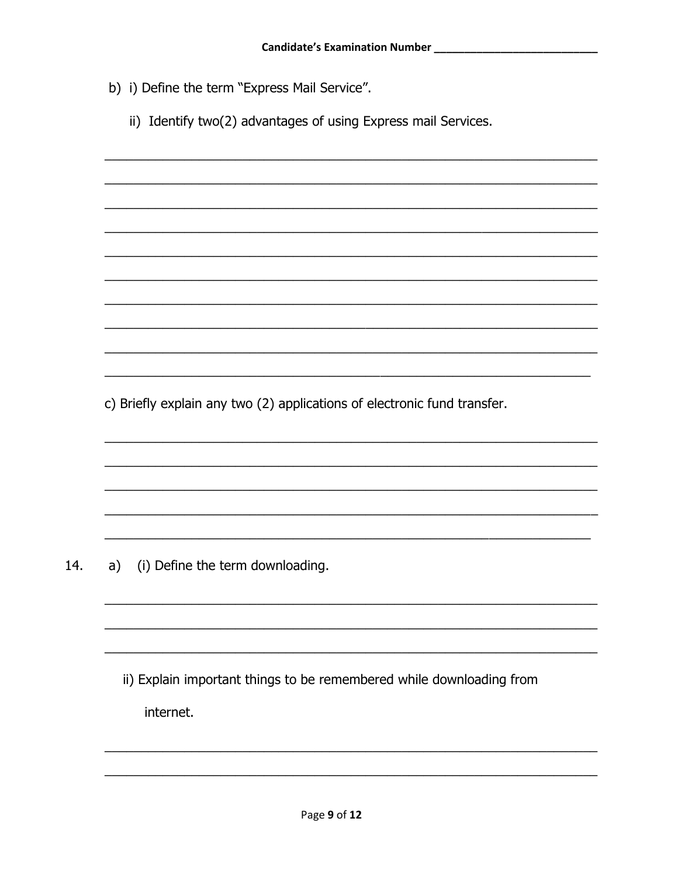- b) i) Define the term "Express Mail Service".
	- ii) Identify two(2) advantages of using Express mail Services.

c) Briefly explain any two (2) applications of electronic fund transfer.

14. a) (i) Define the term downloading.

> ii) Explain important things to be remembered while downloading from internet.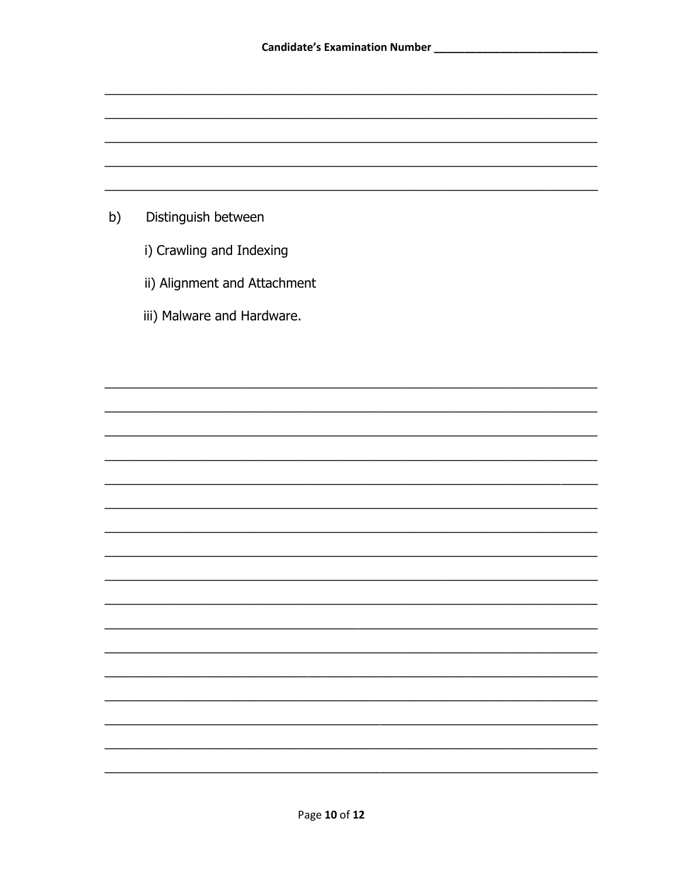

- i) Crawling and Indexing
- ii) Alignment and Attachment
- iii) Malware and Hardware.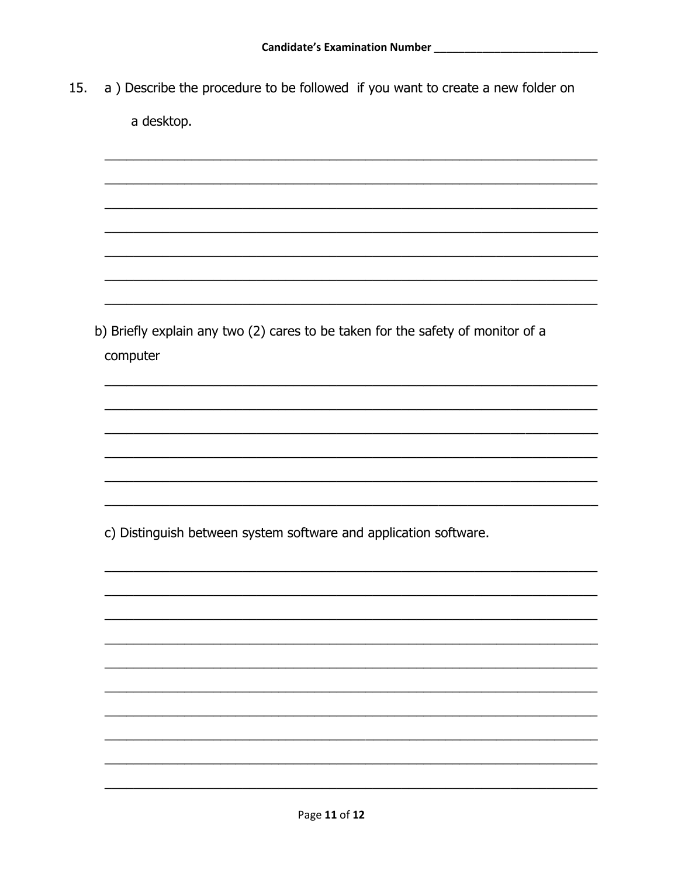a) Describe the procedure to be followed if you want to create a new folder on 15. a desktop.

b) Briefly explain any two (2) cares to be taken for the safety of monitor of a computer

c) Distinguish between system software and application software.